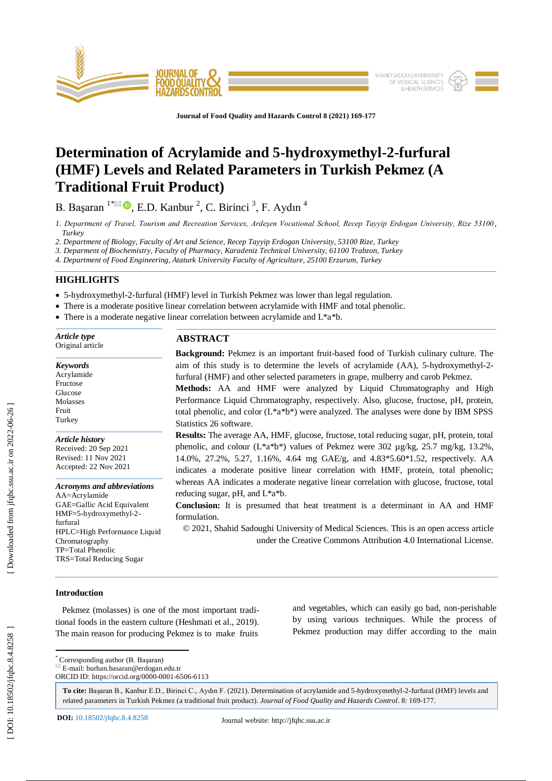

**Journal of Food Quality and Hazards Control 8 (2021) 169 - 177**

# **Determination of Acrylamide and 5 -hydroxymethyl - 2 -furfural (HMF) Levels and Related Parameters in Turkish Pekmez (A Traditional Fruit Product)**

B. Başaran  $1^* \boxtimes \bullet$ , E.D. Kanbur <sup>2</sup>, C. Birinci <sup>3</sup>, F. Aydın <sup>4</sup>

*1. Department of Travel, Tourism and Recreation Services, Ardeşen Vocational School, Recep Tayyip Erdogan University, Rize 53100 , Turkey*

*2. Department of Biology, Faculty of Art and Science, Recep Tayyip Erdogan University, 53100 Rize, Turkey*

*3. Deparment of Biochemistry, Faculty of Pharmacy, Karadeniz Technical University, 61100 Trabzon, Turkey*

*4. Department of Food Engineering, Ataturk University Faculty of Agriculture, 25100 Erzurum, Turkey* 

# **HIGHLIGHTS**

5-hydroxymethyl - 2 -furfural (HMF) level in Turkish Pekmez was lower than legal regulation.

There is a moderate positive linear correlation between acrylamide with HMF and total phenolic.

• There is a moderate negative linear correlation between acrylamide and L\*a\*b.

| Article type                                                                                                                                                                                                              | <b>ABSTRACT</b>                                                                                                                                                                                                                                                                                                                                                                                                                                                   |  |  |  |  |  |
|---------------------------------------------------------------------------------------------------------------------------------------------------------------------------------------------------------------------------|-------------------------------------------------------------------------------------------------------------------------------------------------------------------------------------------------------------------------------------------------------------------------------------------------------------------------------------------------------------------------------------------------------------------------------------------------------------------|--|--|--|--|--|
| Original article                                                                                                                                                                                                          | <b>Background:</b> Pekmez is an important fruit-based food of Turkish culinary culture. The                                                                                                                                                                                                                                                                                                                                                                       |  |  |  |  |  |
| <b>Keywords</b><br>Acrylamide<br>Fructose<br>Glucose<br>Molasses<br>Fruit<br>Turkey                                                                                                                                       | aim of this study is to determine the levels of acrylamide (AA), 5-hydroxymethyl-2-<br>furfural (HMF) and other selected parameters in grape, mulberry and carob Pekmez.<br>Methods: AA and HMF were analyzed by Liquid Chromatography and High<br>Performance Liquid Chromatography, respectively. Also, glucose, fructose, pH, protein,<br>total phenolic, and color $(L^*a^*b^*)$ were analyzed. The analyses were done by IBM SPSS<br>Statistics 26 software. |  |  |  |  |  |
| <b>Article history</b><br>Received: 20 Sep 2021<br>Revised: 11 Nov 2021<br>Accepted: 22 Nov 2021                                                                                                                          | <b>Results:</b> The average AA, HMF, glucose, fructose, total reducing sugar, pH, protein, total<br>phenolic, and colour ( $L^*a^*b^*$ ) values of Pekmez were 302 $\mu$ g/kg, 25.7 mg/kg, 13.2%,<br>14.0%, 27.2%, 5.27, 1.16%, 4.64 mg GAE/g, and 4.83*5.60*1.52, respectively. AA<br>indicates a moderate positive linear correlation with HMF, protein, total phenolic;                                                                                        |  |  |  |  |  |
| <b>Acronyms and abbreviations</b><br>AA=Acrylamide<br>GAE=Gallic Acid Equivalent<br>HMF=5-hydroxymethyl-2-<br>furfural<br>HPLC=High Performance Liquid<br>Chromatography<br>TP=Total Phenolic<br>TRS=Total Reducing Sugar | whereas AA indicates a moderate negative linear correlation with glucose, fructose, total<br>reducing sugar, pH, and L*a*b.<br><b>Conclusion:</b> It is presumed that heat treatment is a determinant in AA and HMF<br>formulation.<br>© 2021, Shahid Sadoughi University of Medical Sciences. This is an open access article<br>under the Creative Commons Attribution 4.0 International License.                                                                |  |  |  |  |  |
|                                                                                                                                                                                                                           |                                                                                                                                                                                                                                                                                                                                                                                                                                                                   |  |  |  |  |  |

## **Introduction**

 Pekmez (molasses) is one of the most important traditional foods in the eastern culture (Heshmati et al., 2019). The main reason for producing Pekmez is to make fruits and vegetables, which can easily go bad, non -perishable by using various techniques. While the process of Pekmez production may differ according to the main

\* Corresponding author (B. Başaran)

 $E = \text{mail: burhan.}$ basaran@erdogan.edu.tr

ORCID ID: https://orcid.org/0000 -0001 -6506 -6113

**To cite:** Başaran B., Kanbur E.D., Birinci C., Aydın F. (2021). Determination of acrylamide and 5 -hydroxymethyl - 2 -furfural (HMF) levels and related parameters in Turkish Pekmez (a traditional fruit product). Journal of Food Quality and Hazards Control. 8: 169-177.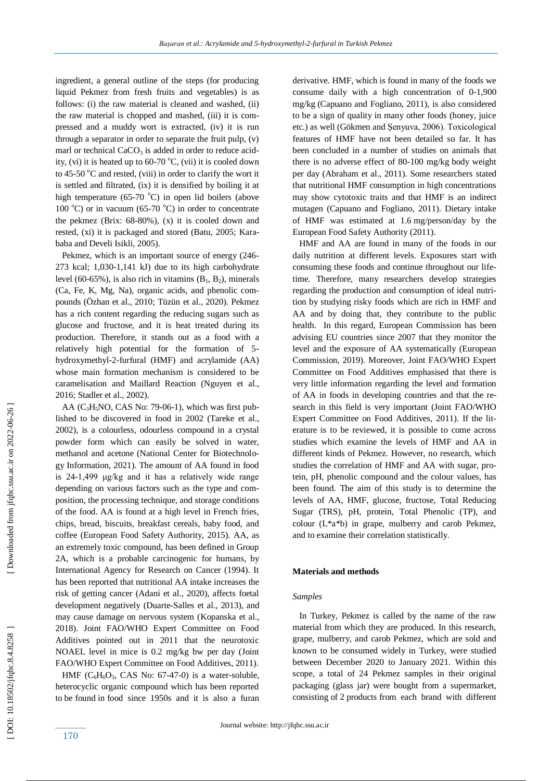ingredient, a general outline of the steps (for producing liquid Pekmez from fresh fruits and vegetables) is as follows: (i) the raw material is cleaned and washed, (ii) the raw material is chopped and mashed, (iii) it is compressed and a muddy wort is extracted, (iv) it is run through a separator in order to separate the fruit pulp, (v) marl or technical CaCO<sub>3</sub> is added in order to reduce acidity, (vi) it is heated up to  $60-70$  °C, (vii) it is cooled down to 45-50 °C and rested, (viii) in order to clarify the wort it is settled and filtrated, (ix) it is densified by boiling it at high temperature  $(65-70 °C)$  in open lid boilers (above 100 $^{\circ}$ C) or in vacuum (65-70 $^{\circ}$ C) in order to concentrate the pekmez (Brix: 68 -80%), (x) it is cooled down and rested, (xi) it is packaged and stored (Batu, 2005; Karababa and Develi Isikli, 2005).

Pekmez, which is an important source of energy (246-273 kcal; 1,030 -1,141 kJ) due to its high carbohydrate level (60-65%), is also rich in vitamins  $(B_1, B_2)$ , minerals (Ca, Fe, K, Mg, Na), organic acids, and phenolic compounds (Özhan et al., 2010; Tüzün et al., 2020). Pekmez has a rich content regarding the reducing sugars such as glucose and fructose, and it is heat treated during its production. Therefore, it stands out as a food with a relatively high potential for the formation of 5 hydroxymethyl - 2 -furfural (HMF) and acrylamide (AA) whose main formation mechanism is considered to be caramelisation and Maillard Reaction (Nguyen et al., 2016; Stadler et al., 2002).

AA  $(C_3H_5NO, CAS No: 79-06-1)$ , which was first published to be discovered in food in 2002 (Tareke et al., 2002), is a colourless, odourless compound in a crystal powder form which can easily be solved in water, methanol and acetone (National Center for Biotechnology Information, 2021). The amount of AA found in food is 24 -1,499 μg/kg and it has a relatively wide range depending on various factors such as the type and composition, the processing technique, and storage conditions of the food. AA is found at a high level in French fries, chips, bread, biscuits, breakfast cereals, baby food, and coffee (European Food Safety Authority, 2015). AA, as an extremely toxic compound, has been defined in Group 2A, which is a probable carcinogenic for humans, by International Agency for Research on Cancer (1994). It has been reported that nutritional AA intake increases the risk of getting cancer (Adani et al., 2020), affects foetal development negatively (Duarte -Salles et al., 2013), and may cause damage on nervous system (Kopanska et al., 2018). Joint FAO/WHO Expert Committee on Food Additives pointed out in 2011 that the neurotoxic NOAEL level in mice is 0.2 mg/kg bw per day (Joint FAO/WHO Expert Committee on Food Additives, 2011).

HMF  $(C_6H_6O_3, CAS$  No: 67-47-0) is a water-soluble, heterocyclic organic compound which has been reported to be found in food since 1950s and it is also a furan

derivative. HMF, which is found in many of the foods we consume daily with a high concentration of 0 -1,900 mg/kg (Capuano and Fogliano, 2011), is also considered to be a sign of quality in many other foods (honey, juice etc.) as well (Gökmen and Şenyuva, 2006). Toxicological features of HMF have not been detailed so far. It has been concluded in a number of studies on animals that there is no adverse effect of 80 -100 mg/kg body weight per day (Abraham et al., 2011). Some researchers stated that nutritional HMF consumption in high concentrations may show cytotoxic traits and that HMF is an indirect mutagen (Capuano and Fogliano, 2011). Dietary intake of HMF was estimated at 1.6 mg/person/day by the European Food Safety Authority [\(2011](https://www.sciencedirect.com/science/article/pii/S0308814616320088?casa_token=gcbO_gUg4u4AAAAA:kOcVQeWANfEPO8Pwirt2z91x2Te_MMuhhlVypnun1wzVEGwH0HT_Hrps24LIFeKVqdQXprFIiQ#b0055)).

 HMF and AA are found in many of the foods in our daily nutrition at different levels. Exposures start with consuming these foods and continue throughout our lifetime. Therefore, many researchers develop strategies regarding the production and consumption of ideal nutrition by studying risky foods which are rich in HMF and AA and by doing that, they contribute to the public health. In this regard, European Commission has been advising EU countries since 2007 that they monitor the level and the exposure of AA systematically (European Commission, 2019). Moreover, Joint FAO/WHO Expert Committee on Food Additives emphasised that there is very little information regarding the level and formation of AA in foods in developing countries and that the research in this field is very important (Joint FAO/WHO Expert Committee on Food Additives, 2011). If the literature is to be reviewed, it is possible to come across studies which examine the levels of HMF and AA in different kinds of Pekmez. However, no research, which studies the correlation of HMF and AA with sugar, protein, pH, phenolic compound and the colour values, has been found. The aim of this study is to determine the levels of AA, HMF, glucose, fructose, Total Reducing Sugar (TRS), pH, protein, Total Phenolic (TP), and colour (L\*a\*b) in grape, mulberry and carob Pekmez, and to examine their correlation statistically.

### **Materials and methods**

#### *Samples*

 In Turkey, Pekmez is called by the name of the raw material from which they are produced. In this research, grape, mulberry, and carob Pekmez, which are sold and known to be consumed widely in Turkey, were studied between December 2020 to January 2021. Within this scope, a total of 24 Pekmez samples in their original packaging (glass jar) were bought from a supermarket, consisting of 2 products from each brand with different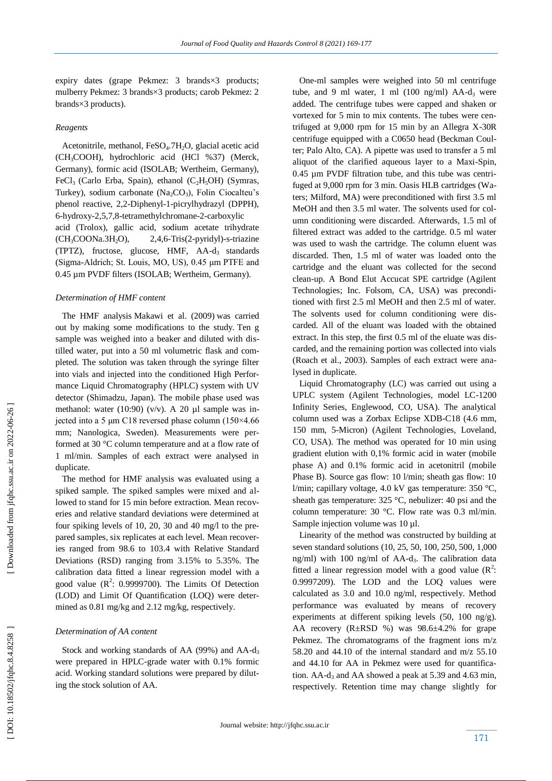expiry dates (grape Pekmez: 3 brands×3 products; mulberry Pekmez: 3 brands×3 products; carob Pekmez: 2 brands×3 products).

# *Reagents*

 Acetonitrile, methanol, FeSO <sup>4</sup>.7H <sup>2</sup>O, glacial acetic acid (CH <sup>3</sup>COOH), hydrochloric acid (HCl %37) (Merck, Germany), formic acid (ISOLAB; Wertheim, Germany), FeCl<sub>3</sub> (Carlo Erba, Spain), ethanol (C<sub>2</sub>H<sub>5</sub>OH) (Symras, Turkey), sodium carbonate (Na <sup>2</sup>CO <sup>3</sup>), Folin Ciocalteu's phenol reactive, 2,2 -Diphenyl - 1 -picrylhydrazyl (DPPH), 6 -hydroxy -2,5,7,8 -tetramethylchromane - 2 -carboxylic acid (Trolox), gallic acid, sodium acetate trihydrate (CH <sup>3</sup>COONa.3H  $2,4,6$ -Tris(2-pyridyl)-s-triazine (TPTZ), fructose, glucose, HMF, AA-d<sub>3</sub> standards (Sigma -Aldrich; St. Louis, MO, US), 0.45 μm PTFE and 0.45 µm PVDF filters (ISOLAB; Wertheim, Germany).

## *Determination of HMF content*

 The HMF analysis [Makawi et al. \(2009\)](https://www.sciencedirect.com/science/article/pii/S0889157521004580#bib0360) was carried out by making some modifications to the study. Ten g sample was weighed into a beaker and diluted with distilled water, put into a 50 ml volumetric flask and completed. The solution was taken through the syringe filter into vials and injected into the conditioned High Performance Liquid Chromatography (HPLC) system with UV detector (Shimadzu, Japan). The mobile phase used was methanol: water (10:90) (v/v). A 20  $\mu$ l sample was injected into a 5 μm C18 reversed phase column (150×4.66 mm; Nanologica, Sweden). Measurements were performed at 30 °C column temperature and at a flow rate of 1 ml/min. Samples of each extract were analysed in duplicate.

 The method for HMF analysis was evaluated using a spiked sample. The spiked samples were mixed and allowed to stand for 15 min before extraction. Mean recoveries and relative standard deviations were determined at four spiking levels of 10, 20, 30 and 40 mg/l to the prepared samples, six replicates at each level. Mean recoveries ranged from 98.6 to 103.4 with Relative Standard Deviations (RSD) ranging from 3.15% to 5.35%. The calibration data fitted a linear regression model with a good value  $(R^2: 0.9999700)$ . The Limits Of Detection (LOD) and Limit Of Quantification (LOQ) were determined as 0.81 mg/kg and 2.12 mg/kg, respectively.

#### *Determination of AA content*

Stock and working standards of AA (99%) and AA-d<sub>3</sub> were prepared in HPLC -grade water with 0.1% formic acid. Working standard solutions were prepared by diluting the stock solution of AA.

 One -ml samples were weighed into 50 ml centrifuge tube, and 9 ml water, 1 ml  $(100 \text{ ng/ml})$  AA- $d_3$  were added. The centrifuge tubes were capped and shaken or vortexed for 5 min to mix contents. The tubes were centrifuged at 9,000 rpm for 15 min by an Allegra X-30R centrifuge equipped with a C0650 head (Beckman Coulter; Palo Alto, CA). A pipette was used to transfer a 5 ml aliquot of the clarified aqueous layer to a Maxi-Spin, 0.45 µm PVDF filtration tube, and this tube was centrifuged at 9,000 rpm for 3 min. Oasis HLB cartridges (Waters; Milford, MA) were preconditioned with first 3.5 ml MeOH and then 3.5 ml water. The solvents used for column conditioning were discarded. Afterwards, 1.5 ml of filtered extract was added to the cartridge. 0.5 ml water was used to wash the cartridge. The column eluent was discarded. Then, 1.5 ml of water was loaded onto the cartridge and the eluant was collected for the second clean -up. A Bond Elut Accucat SPE cartridge (Agilent Technologies; Inc. Folsom, CA, USA) was preconditioned with first 2.5 ml MeOH and then 2.5 ml of water. The solvents used for column conditioning were discarded. All of the eluant was loaded with the obtained extract. In this step, the first 0.5 ml of the eluate was discarded, and the remaining portion was collected into vials (Roach et al., 2003). Samples of each extract were analysed in duplicate.

 Liquid Chromatography (LC) was carried out using a UPLC system (Agilent Technologies, model LC -1200 Infinity Series, Englewood, CO, USA). The analytical column used was a Zorbax Eclipse XDB -C18 (4.6 mm, 150 mm, 5 -Micron) (Agilent Technologies, Loveland, CO, USA). The method was operated for 10 min using gradient elution with 0,1% formic acid in water (mobile phase A) and 0.1% formic acid in acetonitril (mobile Phase B). Source gas flow: 10 l/min; sheath gas flow: 10 l/min; capillary voltage, 4.0 kV gas temperature: 350 °C, sheath gas temperature: 325 °C, nebulizer: 40 psi and the column temperature: 30 °C. Flow rate was 0.3 ml/min. Sample injection volume was 10 µl.

 Linearity of the method was constructed by building at seven standard solutions (10, 25, 50, 100, 250, 500, 1 ,000 ng/ml) with 100 ng/ml of AA - d <sup>3</sup>. The calibration data fitted a linear regression model with a good value  $(R^2)$ : 0.9997209). The LOD and the LOQ values were calculated as 3.0 and 10.0 ng/ml, respectively. Method performance was evaluated by means of recovery experiments at different spiking levels (50, 100 ng/g). AA recovery (R±RSD %) was 98.6±4.2% for grape Pekmez. The chromatograms of the fragment ions m/z 58.20 and 44.10 of the internal standard and m/z 55.10 and 44.10 for AA in Pekmez were used for quantification.  $AA-d_3$  and  $AA$  showed a peak at 5.39 and 4.63 min, respectively. Retention time may change slightly for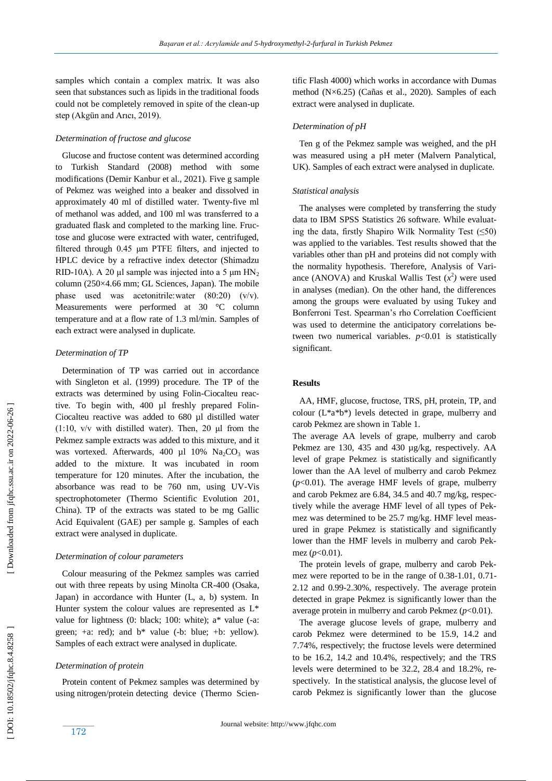samples which contain a complex matrix. It was also seen that substances such as lipids in the traditional foods could not be completely removed in spite of the clean -up step (Akgün and Arıcı, 2019).

## *Determination of fructose and glucose*

 Glucose and fructose content was determined according to Turkish Standard (2008) method with some modifications (Demir Kanbur et al., 2021). Five g sample of Pekmez was weighed into a beaker and dissolved in approximately 40 ml of distilled water. Twenty -five ml of methanol was added, and 100 ml was transferred to a graduated flask and completed to the marking line. Fructose and glucose were extracted with water, centrifuged, filtered through 0.45 μm PTFE filters, and injected to HPLC device by a refractive index detector (Shimadzu RID-10A). A 20  $\mu$ l sample was injected into a 5  $\mu$ m HN<sub>2</sub> column (250×4.66 mm; GL Sciences, Japan). The mobile phase used was acetonitrile: water  $(80:20)$   $(v/v)$ . Measurements were performed at 30 °C column temperature and at a flow rate of 1.3 ml/min. Samples of each extract were analysed in duplicate.

## *Determination of TP*

 Determination of TP was carried out in accordance with Singleton et al. (1999) procedure. The TP of the extracts was determined by using Folin -Ciocalteu reactive. To begin with, 400 µl freshly prepared Folin-Ciocalteu reactive was added to 680 µl distilled water (1:10,  $v/v$  with distilled water). Then, 20  $\mu$ l from the Pekmez sample extracts was added to this mixture, and it was vortexed. Afterwards,  $400 \mu l$   $10\%$   $Na<sub>2</sub>CO<sub>3</sub>$  was added to the mixture. It was incubated in room temperature for 120 minutes. After the incubation, the absorbance was read to be 760 nm, using UV -Vis spectrophotometer (Thermo Scientific Evolution 201, China). TP of the extracts was stated to be mg Gallic Acid Equivalent (GAE) per sample g. Samples of each extract were analysed in duplicate.

# *Determination of colour parameters*

 Colour measuring of the Pekmez samples was carried out with three repeats by using Minolta CR -400 (Osaka, Japan) in accordance with Hunter (L, a, b) system. In Hunter system the colour values are represented as L\* value for lightness (0: black; 100: white); a\* value ( -a: green;  $+a$ : red); and  $b^*$  value (-b: blue;  $+b$ : yellow). Samples of each extract were analysed in duplicate.

# *Determination of protein*

 Protein content of Pekmez samples was determined by using nitrogen/protein detecting device (Thermo Scientific Flash 4000) which works in accordance with Dumas method (N×6.25) (Cañas et al., 2020). Samples of each extract were analysed in duplicate.

## *Determination of pH*

 Ten g of the Pekmez sample was weighed, and the pH was measured using a pH meter (Malvern Panalytical, UK). Samples of each extract were analysed in duplicate.

## *Statistical analysis*

 The analyses were completed by transferring the study data to IBM SPSS Statistics 26 software. While evaluating the data, firstly Shapiro Wilk Normality Test  $(\leq 50)$ was applied to the variables. Test results showed that the variables other than pH and proteins did not comply with the normality hypothesis. Therefore, Analysis of Variance (ANOVA) and Kruskal Wallis Test  $(x^2)$  were used in analyses (median). On the other hand, the differences among the groups were evaluated by using Tukey and Bonferroni Test. Spearman's rho Correlation Coefficient was used to determine the anticipatory correlations between two numerical variables.  $p<0.01$  is statistically significant.

# **Results**

 AA, HMF, glucose, fructose, TRS, pH, protein, TP, and colour (L\*a\*b\*) levels detected in grape, mulberry and carob Pekmez are shown in Table 1.

The average AA levels of grape, mulberry and carob Pekmez are 130, 435 and 430 µg/kg, respectively. AA level of grape Pekmez is statistically and significantly lower than the AA level of mulberry and carob Pekmez (*p*<0.01). The average HMF levels of grape, mulberry and carob Pekmez are 6.84, 34.5 and 40.7 mg/kg, respectively while the average HMF level of all types of Pekmez was determined to be 25.7 mg/kg. HMF level measured in grape Pekmez is statistically and significantly lower than the HMF levels in mulberry and carob Pekmez (*p*<0.01).

 The protein levels of grape, mulberry and carob Pekmez were reported to be in the range of 0.38-1.01, 0.71- 2.12 and 0.99 -2.30%, respectively. The average protein detected in grape Pekmez is significantly lower than the average protein in mulberry and carob Pekmez  $(p<0.01)$ .

 The average glucose levels of grape, mulberry and carob Pekmez were determined to be 15.9, 14.2 and 7.74%, respectively; the fructose levels were determined to be 16.2, 14.2 and 10.4%, respectively; and the TRS levels were determined to be 32.2, 28.4 and 18.2%, respectively. In the statistical analysis, the glucose level of carob Pekmez is significantly lower than the glucose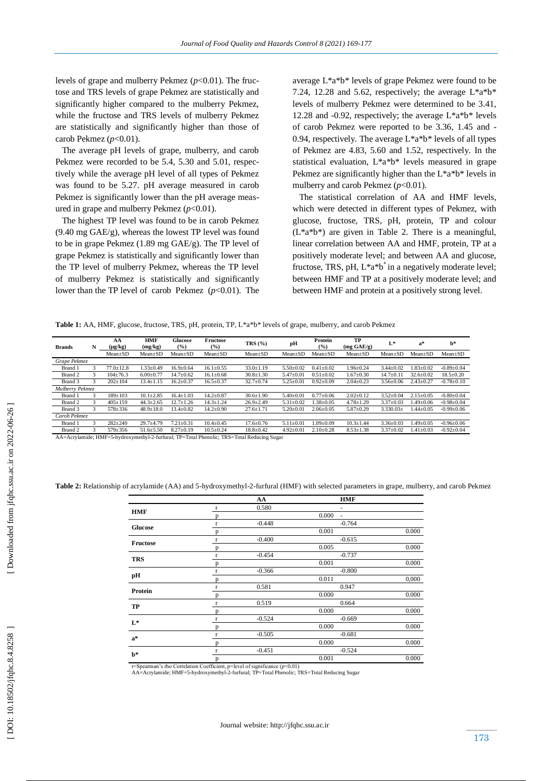levels of grape and mulberry Pekmez (*p*<0.01). The fructose and TRS levels of grape Pekmez are statistically and significantly higher compared to the mulberry Pekmez, while the fructose and TRS levels of mulberry Pekmez are statistically and significantly higher than those of carob Pekmez (*p*<0.01).

 The average pH levels of grape, mulberry, and carob Pekmez were recorded to be 5.4, 5.30 and 5.01, respectively while the average pH level of all types of Pekmez was found to be 5.27. pH average measured in carob Pekmez is significantly lower than the pH average measured in grape and mulberry Pekmez (*p*<0.01).

 The highest TP level was found to be in carob Pekmez (9.40 mg GAE/g), whereas the lowest TP level was found to be in grape Pekmez (1.89 mg GAE/g). The TP level of grape Pekmez is statistically and significantly lower than the TP level of mulberry Pekmez, whereas the TP level of mulberry Pekmez is statistically and significantly lower than the TP level of carob Pekmez (*p*<0.01). The average L\*a\*b\* levels of grape Pekmez were found to be 7.24, 12.28 and 5.62, respectively; the average  $L^*a^*b^*$ levels of mulberry Pekmez were determined to be 3.41, 12.28 and -0.92, respectively; the average L\*a\*b\* levels of carob Pekmez were reported to be 3.36, 1.45 and - 0.94, respectively. The average  $L^*a^*b^*$  levels of all types of Pekmez are 4.83, 5.60 and 1.52, respectively. In the statistical evaluation, L\*a\*b\* levels measured in grape Pekmez are significantly higher than the L\*a\*b\* levels in mulberry and carob Pekmez (*p*<0.01).

 The statistical correlation of AA and HMF levels, which were detected in different types of Pekmez, with glucose, fructose, TRS, pH, protein, TP and colour  $(L^*a^*b^*)$  are given in Table 2. There is a meaningful, linear correlation between AA and HMF, protein, TP at a positively moderate level; and between AA and glucose, fructose, TRS, pH,  $L^*a^*b^*$  in a negatively moderate level; between HMF and TP at a positively moderate level; and between HMF and protein at a positively strong level .

**Table 1:** AA, HMF, glucose, fructose, TRS, pH, protein, TP, L\*a\*b\* levels of grape, mulberry, and carob Pekmez

| <b>Brands</b>   | N | AA<br>$(\mu g/kg)$ | <b>HMF</b><br>(mg/kg) | Glucose<br>$($ %) | Fructose<br>$($ %) | TRS(%)                                                                                     | pН              | Protein<br>$(\%)$ | TP<br>$(mg \text{ GAE/g})$ | L*              | $a^*$           | h*               |
|-----------------|---|--------------------|-----------------------|-------------------|--------------------|--------------------------------------------------------------------------------------------|-----------------|-------------------|----------------------------|-----------------|-----------------|------------------|
|                 |   | $Mean \pm SD$      | $Mean \pm SD$         | $Mean \pm SD$     | $Mean \pm SD$      | $Mean \pm SD$                                                                              | $Mean \pm SD$   | $Mean \pm SD$     | $Mean \pm SD$              | $Mean \pm SD$   | Mean±SD         | $Mean \pm SD$    |
| Grape Pekmez    |   |                    |                       |                   |                    |                                                                                            |                 |                   |                            |                 |                 |                  |
| Brand 1         | 3 | $77.0 \pm 12.8$    | $1.33 \pm 0.49$       | $16.9 \pm 0.64$   | $16.1 \pm 0.55$    | $33.0 \pm 1.19$                                                                            | $5.50 \pm 0.02$ | $0.41 \pm 0.02$   | $1.96 \pm 0.24$            | $3.44 \pm 0.02$ | $1.83 \pm 0.02$ | $-0.89 + 0.04$   |
| Brand 2         | 3 | $104 \pm 76.3$     | $6.00 \pm 0.77$       | $14.7 \pm 0.62$   | $16.1 \pm 0.68$    | $30.8 \pm 1.30$                                                                            | $5.47 \pm 0.01$ | $0.51 \pm 0.02$   | $1.67 \pm 0.30$            | $14.7 \pm 0.11$ | $32.6 \pm 0.02$ | $18.5 \pm 0.20$  |
| Brand 3         | 3 | $202 \pm 104$      | $13.4 \pm 1.15$       | $16.2 \pm 0.37$   | $16.5 \pm 0.37$    | $32.7 \pm 0.74$                                                                            | $5.25 \pm 0.01$ | $0.92 \pm 0.09$   | $2.04 \pm 0.23$            | $3.56 \pm 0.06$ | $2.43 \pm 0.27$ | $-0.78 + 0.10$   |
| Mulberry Pekmez |   |                    |                       |                   |                    |                                                                                            |                 |                   |                            |                 |                 |                  |
| Brand 1         | 3 | $189 \pm 103$      | $10.1 \pm 2.85$       | $16.4 \pm 1.03$   | $14.2 \pm 0.87$    | $30.6 \pm 1.90$                                                                            | $5.40 \pm 0.01$ | $0.77 + 0.06$     | $2.02 \pm 0.12$            | $3.52 \pm 0.04$ | $2.15 \pm 0.05$ | $-0.80+0.04$     |
| Brand 2         | 3 | $405 \pm 159$      | $44.3 \pm 2.65$       | $12.7 \pm 1.26$   | $14.3 \pm 1.24$    | $26.9 \pm 2.49$                                                                            | $5.31 \pm 0.02$ | $1.38 \pm 0.05$   | $4.78 \pm 1.29$            | $3.37 \pm 0.03$ | $1.49 \pm 0.06$ | $-0.98 + 0.04$   |
| Brand 3         | 3 | $578 \pm 336$      | $48.9 \pm 18.0$       | $13.4 \pm 0.82$   | $14.2 \pm 0.90$    | $27.6 \pm 1.71$                                                                            | $5.20 \pm 0.01$ | $2.06 \pm 0.05$   | $5.87 \pm 0.29$            | $3.330.03\pm$   | $1.44 \pm 0.05$ | $-0.99 \pm 0.06$ |
| Carob Pekmez    |   |                    |                       |                   |                    |                                                                                            |                 |                   |                            |                 |                 |                  |
| Brand 1         | 3 | $282 + 240$        | $29.7 + 4.79$         | $7.21 + 0.31$     | $10.4 \pm 0.45$    | $17.6 \pm 0.76$                                                                            | $5.11 \pm 0.01$ | $1.09 \pm 0.09$   | $10.3 \pm 1.44$            | $3.36 \pm 0.03$ | $1.49 \pm 0.05$ | $-0.96 \pm 0.06$ |
| Brand 2         | 3 | $579 \pm 356$      | $51.6 \pm 5.50$       | $8.27 \pm 0.19$   | $10.5 \pm 0.24$    | $18.8 \pm 0.42$                                                                            | $4.92 \pm 0.01$ | $2.10 \pm 0.28$   | $8.53 \pm 1.38$            | $3.37 \pm 0.02$ | $1.41 \pm 0.03$ | $-0.92 \pm 0.04$ |
|                 |   |                    |                       |                   |                    | AA-Acrylamide: HMF-5-bydroxymethyl-2-furfural: TP-Total Phenolic: TRS-Total Reducing Sugar |                 |                   |                            |                 |                 |                  |

AA=Acrylamide; HMF=5 -hydroxymethyl - 2 -furfural; TP=Total Phenolic; TRS=Total Reducing Sugar

Table 2: Relationship of acrylamide (AA) and 5-hydroxymethyl-2-furfural (HMF) with selected parameters in grape, mulberry, and carob Pekmez

|                |              | AA       | <b>HMF</b>                        |       |
|----------------|--------------|----------|-----------------------------------|-------|
| <b>HMF</b>     | r            | 0.580    | $\overline{\phantom{0}}$          |       |
|                | p            |          | 0.000<br>$\overline{\phantom{a}}$ |       |
| Glucose        | r            | $-0.448$ | $-0.764$                          |       |
|                | p            |          | 0.001                             | 0.000 |
| Fructose       | r            | $-0.400$ | $-0.615$                          |       |
|                | p            |          | 0.005                             | 0.000 |
| <b>TRS</b>     | r            | $-0.454$ | $-0.737$                          |       |
|                | D            |          | 0.001                             | 0.000 |
| pH             | r            | $-0.366$ | $-0.800$                          |       |
|                | D            |          | 0.011                             | 0,000 |
| Protein        | r            | 0.581    | 0.947                             |       |
|                | p            |          | 0.000                             | 0.000 |
| TP             | $\mathbf r$  | 0.519    | 0.664                             |       |
|                | p            |          | 0.000                             | 0.000 |
| $L^*$          | $\mathbf{r}$ | $-0.524$ | $-0.669$                          |       |
|                | p            |          | 0.000                             | 0.000 |
| $a^*$          | $\mathbf{r}$ | $-0.505$ | $-0.681$                          |       |
|                | n            |          | 0.000                             | 0.000 |
| $\mathbf{b}^*$ | r            | $-0.451$ | $-0.524$                          |       |
|                | D            |          | 0.001                             | 0.000 |

r=Spearman's rho Correlation Coefficient, p=level of significance (*p*<0.01)<br>AA=Acrylamide; HMF=5-hydroxymethyl-2-furfural; TP=Total Phenolic; TRS=Total Reducing Sugar

DOI: 10.18502/jfqhc.8.4.8258

Downloaded from jfqhc.ssu.ac.ir on 2022-06-26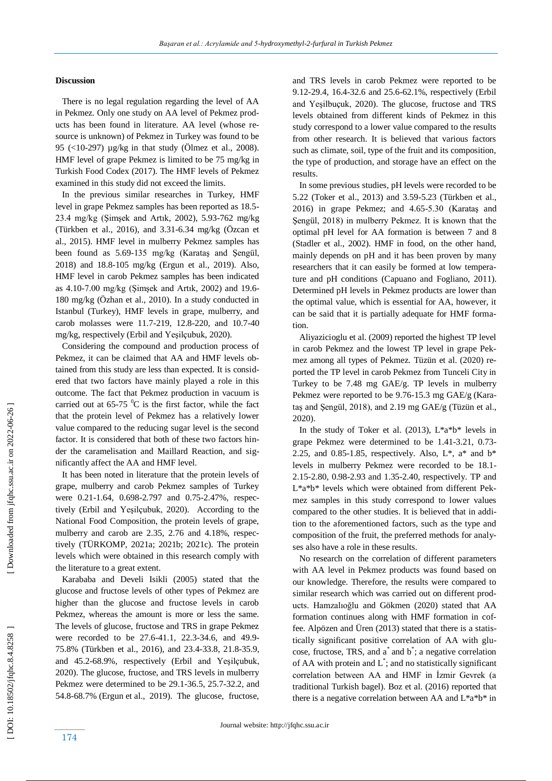### **Discussion**

 There is no legal regulation regarding the level of AA in Pekmez. Only one study on AA level of Pekmez products has been found in literature. AA level (whose resource is unknown) of Pekmez in Turkey was found to be 95 (<10 -297) µg/kg in that study (Ölmez et al., 2008). HMF level of grape Pekmez is limited to be 75 mg/kg in Turkish Food Codex (2017). The HMF levels of Pekmez examined in this study did not exceed the limits.

 In the previous similar researches in Turkey, HMF level in grape Pekmez samples has been reported as 18.5 - 23.4 mg/kg (Şimşek and Artık, 2002), 5.93 -762 mg/kg (Türkben et al., 2016), and 3.31 -6.34 mg/kg (Özcan et al., 2015). HMF level in mulberry Pekmez samples has been found as 5.69 -135 mg/kg (Karataş and Şengül, 2018) and 18.8 -105 mg/kg (Ergun et al., 2019). Also, HMF level in carob Pekmez samples has been indicated as 4.10 -7.00 mg/kg (Şimşek and Artık, 2002) and 19.6 - 180 mg/kg (Özhan et al., 2010). In a study conducted in Istanbul (Turkey), HMF levels in grape, mulberry, and carob molasses were 11.7 -219, 12.8 -220, and 10.7 -40 mg/kg, respectively (Erbil and Yeşilçubuk, 2020).

 Considering the compound and production process of Pekmez, it can be claimed that AA and HMF levels obtained from this study are less than expected. It is considered that two factors have mainly played a role in this outcome. The fact that Pekmez production in vacuum is carried out at  $65-75$  °C is the first factor, while the fact that the protein level of Pekmez has a relatively lower value compared to the reducing sugar level is the second factor. It is considered that both of these two factors hinder the caramelisation and Maillard Reaction, and significantly affect the AA and HMF level.

 It has been noted in literature that the protein levels of grape, mulberry and carob Pekmez samples of Turkey were 0.21-1.64, 0.698-2.797 and 0.75-2.47%, respectively (Erbil and Yeşilçubuk, 2020). According to the National Food Composition, the protein levels of grape, mulberry and carob are 2.35, 2.76 and 4.18%, respectively (TÜRKOMP, 2021a; 2021b; 2021c). The protein levels which were obtained in this research comply with the literature to a great extent.

 Karababa and Develi Isikli (2005) stated that the glucose and fructose levels of other types of Pekmez are higher than the glucose and fructose levels in carob Pekmez, whereas the amount is more or less the same. The levels of glucose, fructose and TRS in grape Pekmez were recorded to be 27.6-41.1, 22.3-34.6, and 49.9-75.8% (Türkben et al., 2016), and 23.4 -33.8, 21.8 -35.9, and 45.2 -68.9%, respectively (Erbil and Yeşilçubuk, 2020). The glucose, fructose, and TRS levels in mulberry Pekmez were determined to be 29.1 -36.5, 25.7 -32.2, and 54. 8 -68.7% (Ergun et al., 2019). The glucose, fructose, and TRS levels in carob Pekmez were reported to be 9.12 -29.4, 16.4 -32.6 and 25.6 -62.1%, respectively (Erbil and Yeşilbuçuk, 2020). The glucose, fructose and TRS levels obtained from different kinds of Pekmez in this study correspond to a lower value compared to the results from other research. It is believed that various factors such as climate, soil, type of the fruit and its composition, the type of production, and storage have an effect on the results.

 In some previous studies, pH levels were recorded to be 5.22 (Toker et al., 2013) and 3.59 -5.23 (Türkben et al., 2016) in grape Pekmez; and 4.65 -5.30 (Karataş and Şengül, 2018) in mulberry Pekmez. It is known that the optimal pH level for AA formation is between 7 and 8 (Stadler et al., 2002). HMF in food, on the other hand, mainly depends on pH and it has been proven by many researchers that it can easily be formed at low temperature and pH conditions (Capuano and Fogliano, 2011). Determined pH levels in Pekmez products are lower than the optimal value, which is essential for AA, however, it can be said that it is partially adequate for HMF formation.

 Aliyazicioglu et al. (2009) reported the highest TP level in carob Pekmez and the lowest TP level in grape Pekmez among all types of Pekmez. Tüzün et al. (2020) reported the TP level in carob Pekmez from Tunceli City in Turkey to be 7.48 mg GAE /g. TP levels in mulberry Pekmez were reported to be 9.76-15.3 mg GAE/g (Karataş and Şengül, 2018), and 2.19 mg GAE/g (Tüzün et al., 2020).

In the study of Toker et al. (2013),  $L^*a^*b^*$  levels in grape Pekmez were determined to be 1.41 -3.21, 0.73 - 2.25, and 0.85-1.85, respectively. Also,  $L^*$ ,  $a^*$  and  $b^*$ levels in mulberry Pekmez were recorded to be 18.1 - 2.15 -2.80, 0.98 -2.93 and 1.35 -2.40, respectively. TP and L\*a\*b\* levels which were obtained from different Pekmez samples in this study correspond to lower values compared to the other studies. It is believed that in addition to the aforementioned factors, such as the type and composition of the fruit, the preferred methods for analyses also have a role in these results.

 No research on the correlation of different parameters with AA level in Pekmez products was found based on our knowledge. Therefore, the results were compared to similar research which was carried out on different products. Hamzalıoğlu and Gökmen (2020) stated that AA formation continues along with HMF formation in coffee. Alpözen and Üren (2013) stated that there is a statistically significant positive correlation of AA with glucose, fructose, TRS, and a\* and b\* ; a negative correlation of AA with protein and  $L^*$ ; and no statistically significant correlation between AA and HMF in İzmir Gevrek (a traditional Turkish bagel). Boz et al. (2016) reported that there is a negative correlation between AA and L\*a\*b\* in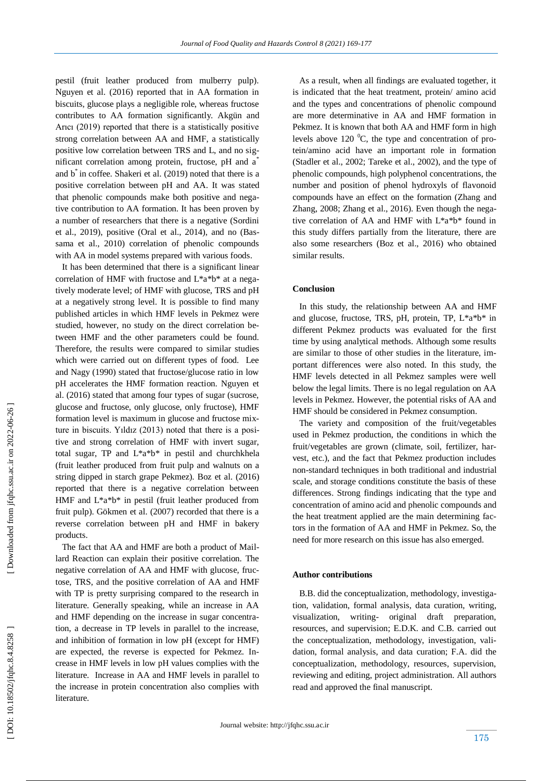pestil (fruit leather produced from mulberry pulp). Nguyen et al. (2016) reported that in AA formation in biscuits, glucose plays a negligible role, whereas fructose contributes to AA formation significantly. Akgün and Arıcı (2019) reported that there is a statistically positive strong correlation between AA and HMF, a statistically positive low correlation between TRS and L, and no significant correlation among protein, fructose, pH and a<sup>\*</sup> and  $b^*$  in coffee. Shakeri et al. (2019) noted that there is a positive correlation between pH and AA. It was stated that phenolic compounds make both positive and negative contribution to AA formation. It has been proven by a number of researchers that there is a negative (Sordini et al., 2019), positive (Oral et al., 2014), and no (Bassama et al., 2010) correlation of phenolic compounds with AA in model systems prepared with various food s .

 It has been determined that there is a significant linear correlation of HMF with fructose and L\*a\*b\* at a negatively moderate level; of HMF with glucose, TRS and pH at a negatively strong level. It is possible to find many published articles in which HMF levels in Pekmez were studied, however, no study on the direct correlation between HMF and the other parameters could be found. Therefore, the results were compared to similar studies which were carried out on different types of food. Lee and Nagy (1990) stated that fructose/glucose ratio in low pH accelerates the HMF formation reaction. Nguyen et al. (2016) stated that among four types of sugar (sucrose, glucose and fructose, only glucose, only fructose), HMF formation level is maximum in glucose and fructose mixture in biscuits. Yıldız (2013) noted that there is a positive and strong correlation of HMF with invert sugar, total sugar, TP and L\*a\*b\* in pestil and churchkhela (fruit leather produced from fruit pulp and walnuts on a string dipped in starch grape Pekmez). Boz et al. (2016) reported that there is a negative correlation between HMF and L\*a\*b\* in pestil (fruit leather produced from fruit pulp). Gökmen et al. (2007) recorded that there is a reverse correlation between pH and HMF in bakery products.

 The fact that AA and HMF are both a product of Maillard Reaction can explain their positive correlation. The negative correlation of AA and HMF with glucose, fructose, TRS, and the positive correlation of AA and HMF with TP is pretty surprising compared to the research in literature. Generally speaking, while an increase in AA and HMF depending on the increase in sugar concentration, a decrease in TP levels in parallel to the increase, and inhibition of formation in low pH (except for HMF) are expected, the reverse is expected for Pekmez. Increase in HMF levels in low pH values complies with the literature. Increase in AA and HMF levels in parallel to the increase in protein concentration also complies with literature.

 As a result, when all findings are evaluated together, it is indicated that the heat treatment, protein/ amino acid and the types and concentrations of phenolic compound are more determinative in AA and HMF formation in Pekmez. It is known that both AA and HMF form in high levels above 120  $^{0}C$ , the type and concentration of protein/amino acid have an important role in formation (Stadler et al., 2002; Tareke et al., 2002), and the type of phenolic compounds, high polyphenol concentrations, the number and position of phenol hydroxyls of flavonoid compounds have an effect on the formation (Zhang and Zhang, 2008; Zhang et al., 2016). Even though the negative correlation of AA and HMF with L\*a\*b\* found in this study differs partially from the literature, there are also some researchers (Boz et al., 2016) who obtained similar results.

#### **Conclusion**

 In this study, the relationship between AA and HMF and glucose, fructose, TRS, pH, protein, TP, L\*a\*b\* in different Pekmez products was evaluated for the first time by using analytical methods. Although some results are similar to those of other studies in the literature, important differences were also noted. In this study, the HMF levels detected in all Pekmez samples were well below the legal limits. There is no legal regulation on AA levels in Pekmez. However, the potential risks of AA and HMF should be considered in Pekmez consumption.

 The variety and composition of the fruit/vegetables used in Pekmez production, the conditions in which the fruit/vegetables are grown (climate, soil, fertilizer, harvest, etc.), and the fact that Pekmez production includes non -standard techniques in both traditional and industrial scale, and storage conditions constitute the basis of these differences. Strong findings indicating that the type and concentration of amino acid and phenolic compounds and the heat treatment applied are the main determining factors in the formation of AA and HMF in Pekmez. So, the need for more research on this issue has also emerged.

#### **Author contributions**

 B.B. did the conceptualization, methodology, investigation, validation, formal analysis, data curation, writing, visualization, writing - original draft preparation, resources, and supervision ; E.D.K. and C.B. carried out the conceptualization, methodology, investigation, validation, formal analysis, and data curation; F.A. did the conceptualization, methodology, resources, supervision, reviewing and editing, project administration. All authors read and approved the final manuscript.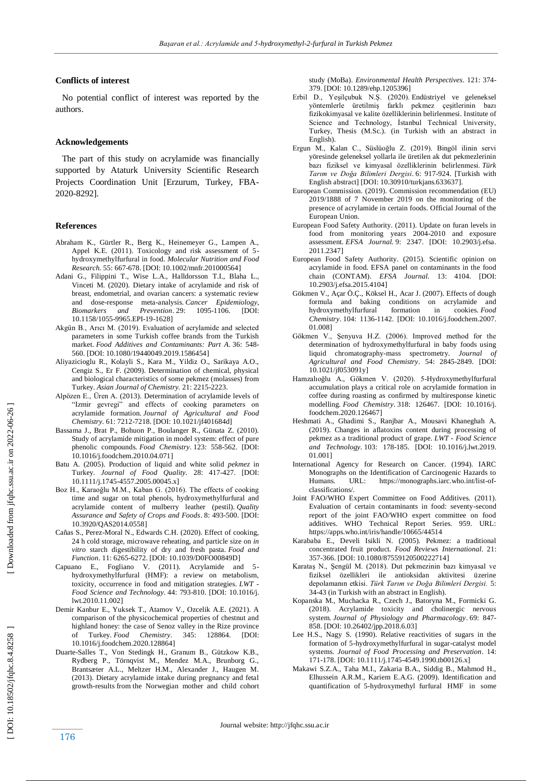#### **Conflicts of interest**

 No potential conflict of interest was reported by the authors.

#### **Acknowledgements**

 The part of this study on acrylamide was financially supported by Ataturk University Scientific Research Projects Coordination Unit [Erzurum, Turkey, FBA - 2020 -8292].

#### **Reference s**

- Abraham K., Gürtler R., Berg K., Heinemeyer G., Lampen A., Appel K.E. (2011). Toxicology and risk assessment of 5hydroxymethylfurfural in food. *Molecular Nutrition and Food Research.* 55: 667 -678. [\[DOI: 10.1002/mnfr.201000564\]](https://doi.org/10.1002/mnfr.201000564)
- Adani G., Filippini T., Wise L.A., Halldorsson T.I., Blaha L., Vinceti M. (2020). Dietary intake of acrylamide and risk of breast, endometrial, and ovarian cancers: a systematic review and dose -response meta -analysis. *Cancer Epidemiology, Biomarkers and Prevention* . 29: 1095 -1106. [\[DOI:](https://doi.org/10.1158/1055-9965.EPI-19-1628)  [10.1158/1055](https://doi.org/10.1158/1055-9965.EPI-19-1628) -9965.EPI -19 -1628 ]
- Akgün B., Arıcı M. (2019). Evaluation of acrylamide and selected parameters in some Turkish coffee brands from the Turkish market. *Food Additives and Contaminants: Part A.* 36: 548 - 560[. \[DOI: 10.1080/19440049.2019.1586454\]](https://doi.org/10.1080/19440049.2019.1586454)
- Aliyazicioglu R., Kolayli S., Kara M., Yildiz O., Sarikaya A.O., Cengiz S., Er F. (2009). Determination of chemical, physical and biological characteristics of some pekmez (molasses) from Turkey. *Asian Journal of Chemistry.* 21: 2215 -2223.
- Alpözen E., Üren A. (2013). Determination of acrylamide levels of "Izmir gevregi" and effects of cooking parameters on acrylamide formation. *Journal of Agricultural and Food Chemistry.* 61: 7212 -7218[. \[DOI: 10.1021/jf401684d](https://doi.org/10.1021/jf401684d) ]
- Bassama J., Brat P., Bohuon P., Boulanger R., Günata Z. (2010). Study of acrylamide mitigation in model system: effect of pure phenolic compounds. *Food Chemistry* . 123: 558 -562. [\[DOI:](https://doi.org/10.1016/j.foodchem.2010.04.071)  [10.1016/j.foodchem.2010.04.071](https://doi.org/10.1016/j.foodchem.2010.04.071) ]
- Batu A. (2005). Production of liquid and white solid *pekmez* in Turkey. *Journal of Food Quality.* 28: 417 -427. [DOI: 10.1111/j.1745 [-4557.2005.00045.x](https://doi.org/10.1111/j.1745-4557.2005.00045.x) ]
- Boz H., Karaoğlu M.M., Kaban G. (2016). The effects of cooking time and sugar on total phenols, hydroxymethylfurfural and acrylamide content of mulberry leather (pestil). *Quality Assurance and Safety of Crops and Foods* . 8: 493 -500. [\[DOI:](https://doi.org/10.3920/QAS2014.0558)  [10.3920/QAS2014.0558](https://doi.org/10.3920/QAS2014.0558) ]
- Cañas S., Perez -Moral N., Edwards C.H. (2020). Effect of cooking, 24 h cold storage, microwave reheating, and particle size on *in vitro* starch digestibility of dry and fresh pasta. *Food and Function* . 11: 6265 -6272. [DOI[: 10.1039/D0FO00849D](https://doi.org/10.1039/D0FO00849D) ]
- Capuano E., Fogliano V. (2011). Acrylamide and 5 hydroxymethylfurfural (HMF): a review on metabolism, toxicity, occurrence in food and mitigation strategies. *LWT - Food Science and Technology.* 44: 793 -810. [\[DOI: 10.1016/j.](https://doi.org/10.1016/j.lwt.2010.11.002) [lwt.2010.11.002](https://doi.org/10.1016/j.lwt.2010.11.002) ]
- Demir Kanbur E., Yuksek T., Atamov V., Ozcelik A.E. (2021). A comparison of the physicochemical properties of chestnut and highland honey: the case of Senoz valley in the Rize province of Turkey. *Food Chemistry*. 345: 128864. [\[DOI:](https://doi.org/10.1016/j.foodchem.2020.128864)  [10.1016/j.foodchem.2020.128864\]](https://doi.org/10.1016/j.foodchem.2020.128864)
- Duarte -Salles T., Von Stedingk H., Granum B., Gützkow K.B., Rydberg P., Törnqvist M., Mendez M.A., Brunborg G., Brantsæter A.L., Meltzer H.M., Alexander J., Haugen M. (2013). Dietary acrylamide intake during pregnancy and fetal growth -results from the Norwegian mother and child cohort

study (MoBa). *Environmental Health Perspectives*. 121: 374 - 379[. \[DOI: 10.1289/ehp.1205396\]](https://doi.org/10.1289/ehp.1205396)

- Erbil D., Yeşilçubuk N.Ş. (2020). Endüstriyel ve geleneksel y ntemlerle üretilmiş farklı pekmez çeşitlerinin bazı fizikokimyasal ve kalite özelliklerinin belirlenmesi. Institute of Science and Technology, İstanbul Technical University, Turkey, Thesis (M.Sc.). (in Turkish with an abstract in English).
- Ergun M., Kalan C., Süslüoğlu Z. (2019). Bingöl ilinin servi yöresinde geleneksel yollarla ile üretilen ak dut pekmezlerinin bazı fiziksel ve kimyasal özelliklerinin belirlenmesi. Türk *Tarım ve Doğa Bilimleri Dergisi* . 6: 917 -924 . [Turkish with English abstract] [DOI: [10.30910/turkjans.633637\]](https://doi.org/10.30910/turkjans.633637).
- European Commission. (2019). Commission recommendation (EU) 2019/1888 of 7 November 2019 on the monitoring of the presence of acrylamide in certain foods. Official Journal of the European Union.
- European Food Safety Authority. (2011). Update on furan levels in food from monitoring years 2004 -2010 and exposure assessment. *EFSA Journal.* 9: 2347. [\[DOI: 10.2903/j.efsa.](https://doi.org/10.2903/j.efsa.2011.2347) [2011.2347\]](https://doi.org/10.2903/j.efsa.2011.2347)
- European Food Safety Authority. (2015). Scientific opinion on acrylamide in food. EFSA panel on contaminants in the food chain (CONTAM). *EFSA Journal.* 13: 4104. [\[DOI:](https://doi.org/10.2903/j.efsa.2015.4104)  [10.2903/j.efsa.2015.4104\]](https://doi.org/10.2903/j.efsa.2015.4104)
- Gökmen V., Açar Ö.Ç., Köksel H., Acar J. (2007). Effects of dough formula and baking conditions on acrylamide and hydroxymethylfurfural formation in cookies. *Food Chemistry* . 104: 1136 -1142. [\[DOI: 10.1016/j.foodchem.2007.](https://doi.org/10.1016/j.foodchem.2007.01.008) [01.008](https://doi.org/10.1016/j.foodchem.2007.01.008) ]
- Gökmen V., Şenyuva H.Z. (2006). Improved method for the determination of hydroxymethylfurfural in baby foods using liquid chromatography -mass spectrometry. *Journal of Agricultural and Food Chemistry*. 54: 2845 -2849. [\[DOI:](https://doi.org/10.1021/jf053091y)  [10.1021/jf053091y\]](https://doi.org/10.1021/jf053091y)
- Hamzalıoğlu A., Gökmen V. (2020). 5-Hydroxymethylfurfural accumulation plays a critical role on acrylamide formation in coffee during roasting as confirmed by multiresponse kinetic modelling. *Food Chemistry* . 318: 126467. [\[DOI: 10.1016/j.](https://doi.org/10.1016/j.foodchem.2020.126467) [foodchem.2020.126467](https://doi.org/10.1016/j.foodchem.2020.126467) ]
- Heshmati A., Ghadimi S., Ranjbar A., Mousavi Khaneghah A. (2019). Changes in aflatoxins content during processing of pekmez as a traditional product of grape . *LWT - Food Science and Technology.* 103: 178 -185. [\[DOI: 10.1016/j.lwt.2019.](https://doi.org/10.1016/j.lwt.2019.01.001) [01.001](https://doi.org/10.1016/j.lwt.2019.01.001) ]
- International Agency for Research on Cancer. (1994). IARC Monographs on the Identification of Carcinogenic Hazards to<br>Humans URL: https://monographs.jarc.who.int/list-ofHumans. URL: [https://monographs.iarc.who.int/list](https://monographs.iarc.who.int/list-of-classifications/)-of[classifications/.](https://monographs.iarc.who.int/list-of-classifications/)
- Joint FAO/WHO Expert Committee on Food Additives. (2011). Evaluation of certain contaminants in food: seventy -second report of the joint FAO/WHO expert committee on food additives. WHO Technical Report Series. 959. URL: https://apps.who.int/iris/handle/10665/44514
- Karababa E., Develi Isikli N. (2005). Pekmez: a traditional concentrated fruit product. *Food Reviews International*. 21: 357 -366[. \[DOI: 10.1080/87559120500222714\]](https://doi.org/10.1080/87559120500222714)
- Karataş N., Şengül M. (2018). Dut pekmezinin bazı kimyasal ve fiziksel özellikleri ile antioksidan aktivitesi üzerine depolamanın etkisi. *Türk Tarım ve Doğa Bilimleri Dergisi.* 5: 34 -43 (in Turkish with an abstract in English).
- Kopanska M., Muchacka R., Czech J., Batoryna M., Formicki G. (2018). Acrylamide toxicity and cholinergic nervous system. *Journal of Physiology and Pharmacology*. 69: 847-858[. \[DOI: 10.26402/jpp.2018.6.03\]](https://doi.org/10.26402/jpp.2018.6.03)
- Lee H.S., Nagy S. (1990). Relative reactivities of sugars in the formation of 5 -hydroxymethylfurfural in sugar -catalyst model systems. *Journal of Food Processing and Preservation*. 14: 171 -178. [DOI: 10.1111/j.1745 [-4549.1990.tb00126.x\]](https://doi.org/10.1111/j.1745-4549.1990.tb00126.x)
- Makawi S.Z.A., Taha M.I., Zakaria B.A., Siddig B., Mahmod H., Elhussein A.R.M., Kariem E.A.G. (2009). Identification and quantification of 5 -hydroxymethyl furfural HMF in some

176

DOI: 10.18502/jfqhc.8.4.8258

 [\[ DOI: 10.18502/jfqhc.8.4.8258 \]](http://dx.doi.org/10.18502/jfqhc.8.4.8258 ) [\[ Downloaded from jfqhc.ssu.ac.ir on 2022](http://jfqhc.ssu.ac.ir/article-1-917-en.html)-06-26 ]

Downloaded from jfqhc.ssu.ac.ir on 2022-06-26